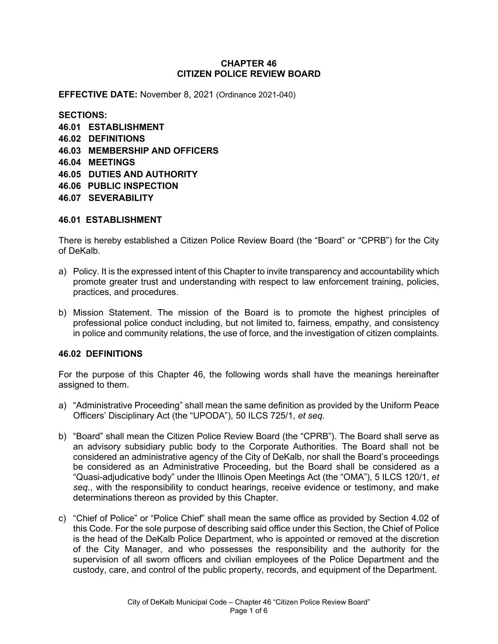## **CHAPTER 46 CITIZEN POLICE REVIEW BOARD**

**EFFECTIVE DATE:** November 8, 2021 (Ordinance 2021-040)

**SECTIONS: 46.01 ESTABLISHMENT 46.02 DEFINITIONS 46.03 MEMBERSHIP AND OFFICERS 46.04 MEETINGS 46.05 DUTIES AND AUTHORITY 46.06 PUBLIC INSPECTION 46.07 SEVERABILITY**

## **46.01 ESTABLISHMENT**

There is hereby established a Citizen Police Review Board (the "Board" or "CPRB") for the City of DeKalb.

- a) Policy. It is the expressed intent of this Chapter to invite transparency and accountability which promote greater trust and understanding with respect to law enforcement training, policies, practices, and procedures.
- b) Mission Statement. The mission of the Board is to promote the highest principles of professional police conduct including, but not limited to, fairness, empathy, and consistency in police and community relations, the use of force, and the investigation of citizen complaints.

# **46.02 DEFINITIONS**

For the purpose of this Chapter 46, the following words shall have the meanings hereinafter assigned to them.

- a) "Administrative Proceeding" shall mean the same definition as provided by the Uniform Peace Officers' Disciplinary Act (the "UPODA"), 50 ILCS 725/1, *et seq.*
- b) "Board" shall mean the Citizen Police Review Board (the "CPRB"). The Board shall serve as an advisory subsidiary public body to the Corporate Authorities. The Board shall not be considered an administrative agency of the City of DeKalb, nor shall the Board's proceedings be considered as an Administrative Proceeding, but the Board shall be considered as a "Quasi-adjudicative body" under the Illinois Open Meetings Act (the "OMA"), 5 ILCS 120/1, *et seq.*, with the responsibility to conduct hearings, receive evidence or testimony, and make determinations thereon as provided by this Chapter.
- c) "Chief of Police" or "Police Chief" shall mean the same office as provided by Section 4.02 of this Code. For the sole purpose of describing said office under this Section, the Chief of Police is the head of the DeKalb Police Department, who is appointed or removed at the discretion of the City Manager, and who possesses the responsibility and the authority for the supervision of all sworn officers and civilian employees of the Police Department and the custody, care, and control of the public property, records, and equipment of the Department.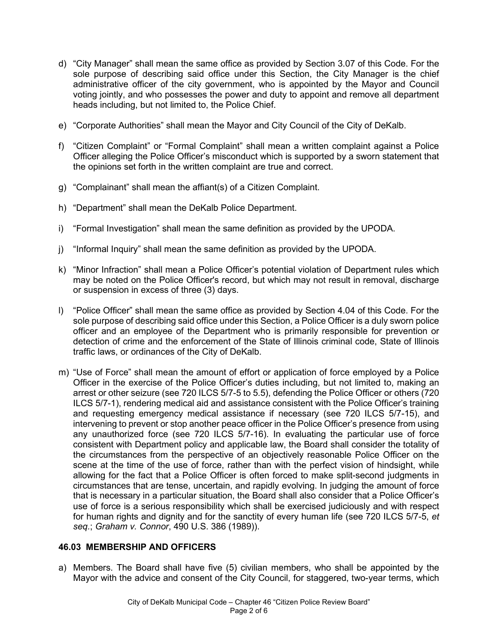- d) "City Manager" shall mean the same office as provided by Section 3.07 of this Code. For the sole purpose of describing said office under this Section, the City Manager is the chief administrative officer of the city government, who is appointed by the Mayor and Council voting jointly, and who possesses the power and duty to appoint and remove all department heads including, but not limited to, the Police Chief.
- e) "Corporate Authorities" shall mean the Mayor and City Council of the City of DeKalb.
- f) "Citizen Complaint" or "Formal Complaint" shall mean a written complaint against a Police Officer alleging the Police Officer's misconduct which is supported by a sworn statement that the opinions set forth in the written complaint are true and correct.
- g) "Complainant" shall mean the affiant(s) of a Citizen Complaint.
- h) "Department" shall mean the DeKalb Police Department.
- i) "Formal Investigation" shall mean the same definition as provided by the UPODA.
- j) "Informal Inquiry" shall mean the same definition as provided by the UPODA.
- k) "Minor Infraction" shall mean a Police Officer's potential violation of Department rules which may be noted on the Police Officer's record, but which may not result in removal, discharge or suspension in excess of three (3) days.
- l) "Police Officer" shall mean the same office as provided by Section 4.04 of this Code. For the sole purpose of describing said office under this Section, a Police Officer is a duly sworn police officer and an employee of the Department who is primarily responsible for prevention or detection of crime and the enforcement of the State of Illinois criminal code, State of Illinois traffic laws, or ordinances of the City of DeKalb.
- m) "Use of Force" shall mean the amount of effort or application of force employed by a Police Officer in the exercise of the Police Officer's duties including, but not limited to, making an arrest or other seizure (see 720 ILCS 5/7-5 to 5.5), defending the Police Officer or others (720 ILCS 5/7-1), rendering medical aid and assistance consistent with the Police Officer's training and requesting emergency medical assistance if necessary (see 720 ILCS 5/7-15), and intervening to prevent or stop another peace officer in the Police Officer's presence from using any unauthorized force (see 720 ILCS 5/7-16). In evaluating the particular use of force consistent with Department policy and applicable law, the Board shall consider the totality of the circumstances from the perspective of an objectively reasonable Police Officer on the scene at the time of the use of force, rather than with the perfect vision of hindsight, while allowing for the fact that a Police Officer is often forced to make split-second judgments in circumstances that are tense, uncertain, and rapidly evolving. In judging the amount of force that is necessary in a particular situation, the Board shall also consider that a Police Officer's use of force is a serious responsibility which shall be exercised judiciously and with respect for human rights and dignity and for the sanctity of every human life (see 720 ILCS 5/7-5, *et seq.*; *Graham v. Connor*, 490 U.S. 386 (1989)).

# **46.03 MEMBERSHIP AND OFFICERS**

a) Members. The Board shall have five (5) civilian members, who shall be appointed by the Mayor with the advice and consent of the City Council, for staggered, two-year terms, which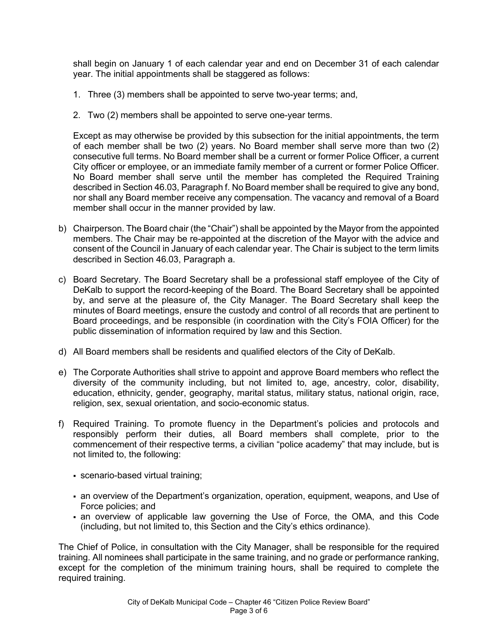shall begin on January 1 of each calendar year and end on December 31 of each calendar year. The initial appointments shall be staggered as follows:

- 1. Three (3) members shall be appointed to serve two-year terms; and,
- 2. Two (2) members shall be appointed to serve one-year terms.

Except as may otherwise be provided by this subsection for the initial appointments, the term of each member shall be two (2) years. No Board member shall serve more than two (2) consecutive full terms. No Board member shall be a current or former Police Officer, a current City officer or employee, or an immediate family member of a current or former Police Officer. No Board member shall serve until the member has completed the Required Training described in Section 46.03, Paragraph f. No Board member shall be required to give any bond, nor shall any Board member receive any compensation. The vacancy and removal of a Board member shall occur in the manner provided by law.

- b) Chairperson. The Board chair (the "Chair") shall be appointed by the Mayor from the appointed members. The Chair may be re-appointed at the discretion of the Mayor with the advice and consent of the Council in January of each calendar year. The Chair is subject to the term limits described in Section 46.03, Paragraph a.
- c) Board Secretary. The Board Secretary shall be a professional staff employee of the City of DeKalb to support the record-keeping of the Board. The Board Secretary shall be appointed by, and serve at the pleasure of, the City Manager. The Board Secretary shall keep the minutes of Board meetings, ensure the custody and control of all records that are pertinent to Board proceedings, and be responsible (in coordination with the City's FOIA Officer) for the public dissemination of information required by law and this Section.
- d) All Board members shall be residents and qualified electors of the City of DeKalb.
- e) The Corporate Authorities shall strive to appoint and approve Board members who reflect the diversity of the community including, but not limited to, age, ancestry, color, disability, education, ethnicity, gender, geography, marital status, military status, national origin, race, religion, sex, sexual orientation, and socio-economic status.
- f) Required Training. To promote fluency in the Department's policies and protocols and responsibly perform their duties, all Board members shall complete, prior to the commencement of their respective terms, a civilian "police academy" that may include, but is not limited to, the following:
	- scenario-based virtual training;
	- an overview of the Department's organization, operation, equipment, weapons, and Use of Force policies; and
	- an overview of applicable law governing the Use of Force, the OMA, and this Code (including, but not limited to, this Section and the City's ethics ordinance).

The Chief of Police, in consultation with the City Manager, shall be responsible for the required training. All nominees shall participate in the same training, and no grade or performance ranking, except for the completion of the minimum training hours, shall be required to complete the required training.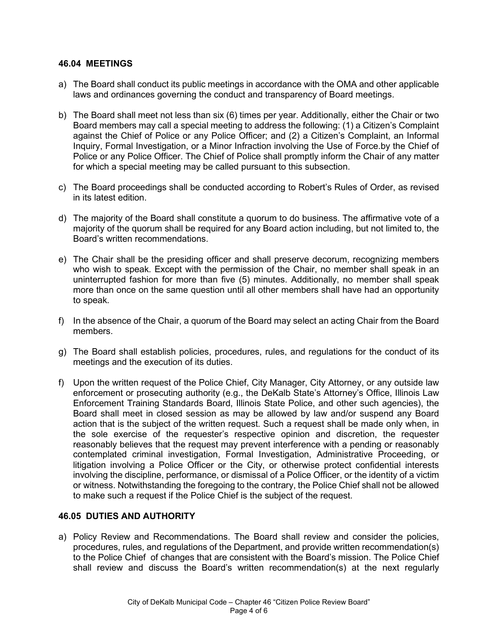#### **46.04 MEETINGS**

- a) The Board shall conduct its public meetings in accordance with the OMA and other applicable laws and ordinances governing the conduct and transparency of Board meetings.
- b) The Board shall meet not less than six (6) times per year. Additionally, either the Chair or two Board members may call a special meeting to address the following: (1) a Citizen's Complaint against the Chief of Police or any Police Officer; and (2) a Citizen's Complaint, an Informal Inquiry, Formal Investigation, or a Minor Infraction involving the Use of Force.by the Chief of Police or any Police Officer. The Chief of Police shall promptly inform the Chair of any matter for which a special meeting may be called pursuant to this subsection.
- c) The Board proceedings shall be conducted according to Robert's Rules of Order, as revised in its latest edition.
- d) The majority of the Board shall constitute a quorum to do business. The affirmative vote of a majority of the quorum shall be required for any Board action including, but not limited to, the Board's written recommendations.
- e) The Chair shall be the presiding officer and shall preserve decorum, recognizing members who wish to speak. Except with the permission of the Chair, no member shall speak in an uninterrupted fashion for more than five (5) minutes. Additionally, no member shall speak more than once on the same question until all other members shall have had an opportunity to speak.
- f) In the absence of the Chair, a quorum of the Board may select an acting Chair from the Board members.
- g) The Board shall establish policies, procedures, rules, and regulations for the conduct of its meetings and the execution of its duties.
- f) Upon the written request of the Police Chief, City Manager, City Attorney, or any outside law enforcement or prosecuting authority (e.g., the DeKalb State's Attorney's Office, Illinois Law Enforcement Training Standards Board, Illinois State Police, and other such agencies), the Board shall meet in closed session as may be allowed by law and/or suspend any Board action that is the subject of the written request. Such a request shall be made only when, in the sole exercise of the requester's respective opinion and discretion, the requester reasonably believes that the request may prevent interference with a pending or reasonably contemplated criminal investigation, Formal Investigation, Administrative Proceeding, or litigation involving a Police Officer or the City, or otherwise protect confidential interests involving the discipline, performance, or dismissal of a Police Officer, or the identity of a victim or witness. Notwithstanding the foregoing to the contrary, the Police Chief shall not be allowed to make such a request if the Police Chief is the subject of the request.

## **46.05 DUTIES AND AUTHORITY**

a) Policy Review and Recommendations. The Board shall review and consider the policies, procedures, rules, and regulations of the Department, and provide written recommendation(s) to the Police Chief of changes that are consistent with the Board's mission. The Police Chief shall review and discuss the Board's written recommendation(s) at the next regularly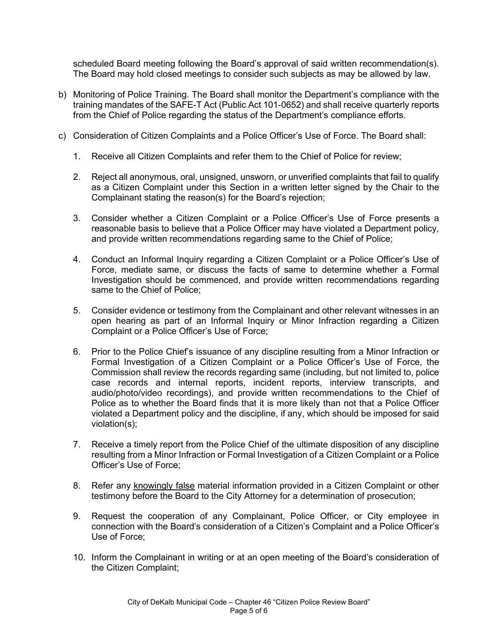scheduled Board meeting following the Board's approval of said written recommendation(s). The Board may hold closed meetings to consider such subjects as may be allowed by law.

- b) Monitoring of Police Training. The Board shall monitor the Department's compliance with the training mandates of the SAFE-T Act (Public Act 101-0652) and shall receive quarterly reports from the Chief of Police regarding the status of the Department's compliance efforts.
- c) Consideration of Citizen Complaints and a Police Officer's Use of Force. The Board shall:
	- 1. Receive all Citizen Complaints and refer them to the Chief of Police for review;
	- 2. Reject all anonymous, oral, unsigned, unsworn, or unverified complaints that fail to qualify as a Citizen Complaint under this Section in a written letter signed by the Chair to the Complainant stating the reason(s) for the Board's rejection;
	- 3. Consider whether a Citizen Complaint or a Police Officer's Use of Force presents a reasonable basis to believe that a Police Officer may have violated a Department policy, and provide written recommendations regarding same to the Chief of Police;
	- 4. Conduct an Informal Inquiry regarding a Citizen Complaint or a Police Officer's Use of Force, mediate same, or discuss the facts of same to determine whether a Formal Investigation should be commenced, and provide written recommendations regarding same to the Chief of Police;
	- 5. Consider evidence or testimony from the Complainant and other relevant witnesses in an open hearing as part of an Informal Inquiry or Minor Infraction regarding a Citizen Complaint or a Police Officer's Use of Force;
	- 6. Prior to the Police Chief's issuance of any discipline resulting from a Minor Infraction or Formal Investigation of a Citizen Complaint or a Police Officer's Use of Force, the Commission shall review the records regarding same (including, but not limited to, police case records and internal reports, incident reports, interview transcripts, and audio/photo/video recordings), and provide written recommendations to the Chief of Police as to whether the Board finds that it is more likely than not that a Police Officer violated a Department policy and the discipline, if any, which should be imposed for said violation(s);
	- 7. Receive a timely report from the Police Chief of the ultimate disposition of any discipline resulting from a Minor Infraction or Formal Investigation of a Citizen Complaint or a Police Officer's Use of Force;
	- 8. Refer any knowingly false material information provided in a Citizen Complaint or other testimony before the Board to the City Attorney for a determination of prosecution;
	- 9. Request the cooperation of any Complainant, Police Officer, or City employee in connection with the Board's consideration of a Citizen's Complaint and a Police Officer's Use of Force;
	- 10. Inform the Complainant in writing or at an open meeting of the Board's consideration of the Citizen Complaint;